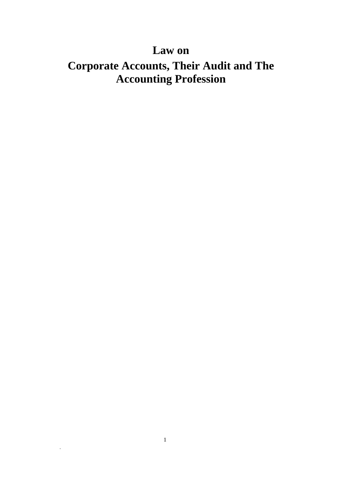# **Law on**

# **Corporate Accounts, Their Audit and The Accounting Profession**

 $\ddot{\phantom{a}}$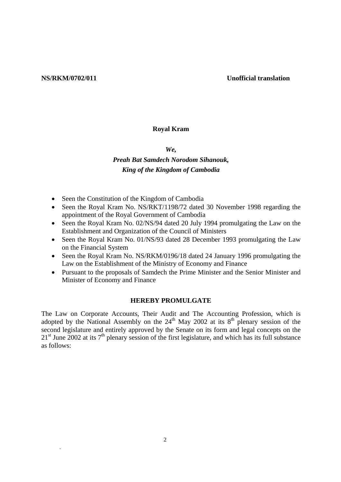#### **NS/RKM/0702/011 Unofficial translation**

#### **Royal Kram**

*We,* 

# *Preah Bat Samdech Norodom Sihanouk, King of the Kingdom of Cambodia*

- Seen the Constitution of the Kingdom of Cambodia
- Seen the Royal Kram No. NS/RKT/1198/72 dated 30 November 1998 regarding the appointment of the Royal Government of Cambodia
- Seen the Royal Kram No. 02/NS/94 dated 20 July 1994 promulgating the Law on the Establishment and Organization of the Council of Ministers
- Seen the Royal Kram No. 01/NS/93 dated 28 December 1993 promulgating the Law on the Financial System
- Seen the Royal Kram No. NS/RKM/0196/18 dated 24 January 1996 promulgating the Law on the Establishment of the Ministry of Economy and Finance
- Pursuant to the proposals of Samdech the Prime Minister and the Senior Minister and Minister of Economy and Finance

#### **HEREBY PROMULGATE**

The Law on Corporate Accounts, Their Audit and The Accounting Profession, which is adopted by the National Assembly on the  $24<sup>th</sup>$  May 2002 at its  $8<sup>th</sup>$  plenary session of the second legislature and entirely approved by the Senate on its form and legal concepts on the  $21<sup>st</sup>$  June 2002 at its 7<sup>th</sup> plenary session of the first legislature, and which has its full substance as follows: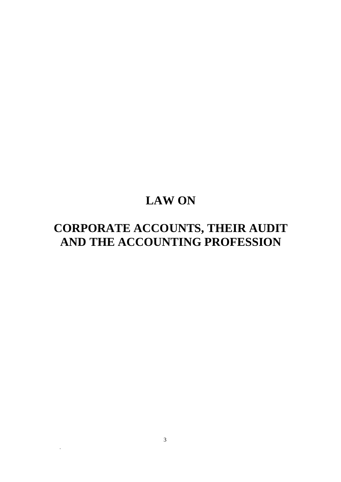# **LAW ON**

# **CORPORATE ACCOUNTS, THEIR AUDIT AND THE ACCOUNTING PROFESSION**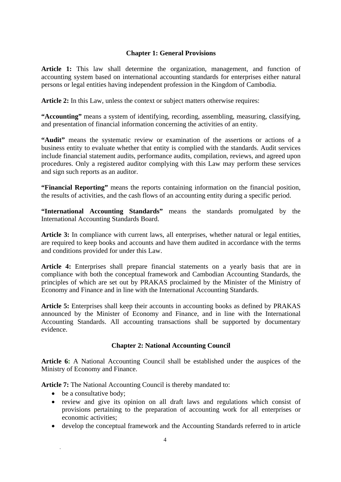#### **Chapter 1: General Provisions**

**Article 1:** This law shall determine the organization, management, and function of accounting system based on international accounting standards for enterprises either natural persons or legal entities having independent profession in the Kingdom of Cambodia.

**Article 2:** In this Law, unless the context or subject matters otherwise requires:

**"Accounting"** means a system of identifying, recording, assembling, measuring, classifying, and presentation of financial information concerning the activities of an entity.

**"Audit"** means the systematic review or examination of the assertions or actions of a business entity to evaluate whether that entity is complied with the standards. Audit services include financial statement audits, performance audits, compilation, reviews, and agreed upon procedures. Only a registered auditor complying with this Law may perform these services and sign such reports as an auditor.

**"Financial Reporting"** means the reports containing information on the financial position, the results of activities, and the cash flows of an accounting entity during a specific period.

**"International Accounting Standards"** means the standards promulgated by the International Accounting Standards Board.

Article 3: In compliance with current laws, all enterprises, whether natural or legal entities, are required to keep books and accounts and have them audited in accordance with the terms and conditions provided for under this Law.

**Article 4:** Enterprises shall prepare financial statements on a yearly basis that are in compliance with both the conceptual framework and Cambodian Accounting Standards, the principles of which are set out by PRAKAS proclaimed by the Minister of the Ministry of Economy and Finance and in line with the International Accounting Standards.

Article 5: Enterprises shall keep their accounts in accounting books as defined by PRAKAS announced by the Minister of Economy and Finance, and in line with the International Accounting Standards. All accounting transactions shall be supported by documentary evidence.

### **Chapter 2: National Accounting Council**

**Article 6:** A National Accounting Council shall be established under the auspices of the Ministry of Economy and Finance.

**Article 7:** The National Accounting Council is thereby mandated to:

- be a consultative body;
- review and give its opinion on all draft laws and regulations which consist of provisions pertaining to the preparation of accounting work for all enterprises or economic activities;
- develop the conceptual framework and the Accounting Standards referred to in article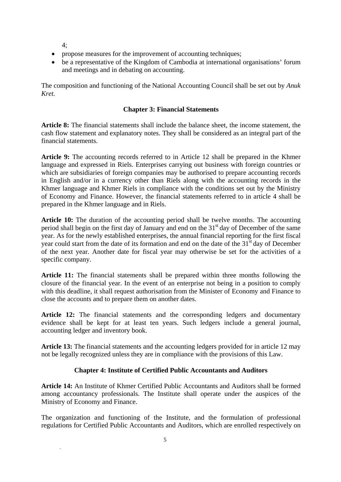4;

- propose measures for the improvement of accounting techniques;
- be a representative of the Kingdom of Cambodia at international organisations' forum and meetings and in debating on accounting.

The composition and functioning of the National Accounting Council shall be set out by *Anuk Kret.* 

### **Chapter 3: Financial Statements**

**Article 8:** The financial statements shall include the balance sheet, the income statement, the cash flow statement and explanatory notes. They shall be considered as an integral part of the financial statements.

**Article 9:** The accounting records referred to in Article 12 shall be prepared in the Khmer language and expressed in Riels. Enterprises carrying out business with foreign countries or which are subsidiaries of foreign companies may be authorised to prepare accounting records in English and/or in a currency other than Riels along with the accounting records in the Khmer language and Khmer Riels in compliance with the conditions set out by the Ministry of Economy and Finance. However, the financial statements referred to in article 4 shall be prepared in the Khmer language and in Riels.

**Article 10:** The duration of the accounting period shall be twelve months. The accounting period shall begin on the first day of January and end on the  $31<sup>st</sup>$  day of December of the same year. As for the newly established enterprises, the annual financial reporting for the first fiscal year could start from the date of its formation and end on the date of the 31<sup>st</sup> day of December of the next year. Another date for fiscal year may otherwise be set for the activities of a specific company.

**Article 11:** The financial statements shall be prepared within three months following the closure of the financial year. In the event of an enterprise not being in a position to comply with this deadline, it shall request authorisation from the Minister of Economy and Finance to close the accounts and to prepare them on another dates.

**Article 12:** The financial statements and the corresponding ledgers and documentary evidence shall be kept for at least ten years. Such ledgers include a general journal, accounting ledger and inventory book.

**Article 13:** The financial statements and the accounting ledgers provided for in article 12 may not be legally recognized unless they are in compliance with the provisions of this Law.

### **Chapter 4: Institute of Certified Public Accountants and Auditors**

**Article 14:** An Institute of Khmer Certified Public Accountants and Auditors shall be formed among accountancy professionals. The Institute shall operate under the auspices of the Ministry of Economy and Finance.

The organization and functioning of the Institute, and the formulation of professional regulations for Certified Public Accountants and Auditors, which are enrolled respectively on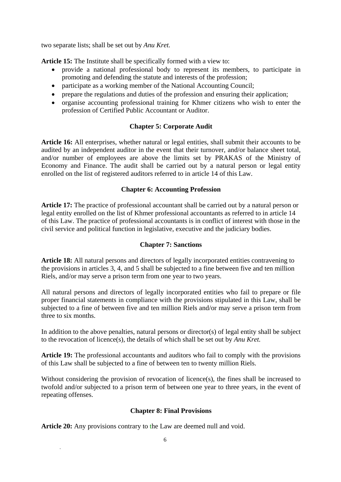two separate lists; shall be set out by *Anu Kret.* 

**Article 15:** The Institute shall be specifically formed with a view to:

- provide a national professional body to represent its members, to participate in promoting and defending the statute and interests of the profession;
- participate as a working member of the National Accounting Council;
- prepare the regulations and duties of the profession and ensuring their application;
- organise accounting professional training for Khmer citizens who wish to enter the profession of Certified Public Accountant or Auditor.

# **Chapter 5: Corporate Audit**

**Article 16:** All enterprises, whether natural or legal entities, shall submit their accounts to be audited by an independent auditor in the event that their turnover, and/or balance sheet total, and/or number of employees are above the limits set by PRAKAS of the Ministry of Economy and Finance. The audit shall be carried out by a natural person or legal entity enrolled on the list of registered auditors referred to in article 14 of this Law.

# **Chapter 6: Accounting Profession**

**Article 17:** The practice of professional accountant shall be carried out by a natural person or legal entity enrolled on the list of Khmer professional accountants as referred to in article 14 of this Law. The practice of professional accountants is in conflict of interest with those in the civil service and political function in legislative, executive and the judiciary bodies.

## **Chapter 7: Sanctions**

**Article 18:** All natural persons and directors of legally incorporated entities contravening to the provisions in articles 3, 4, and 5 shall be subjected to a fine between five and ten million Riels, and/or may serve a prison term from one year to two years.

All natural persons and directors of legally incorporated entities who fail to prepare or file proper financial statements in compliance with the provisions stipulated in this Law, shall be subjected to a fine of between five and ten million Riels and/or may serve a prison term from three to six months.

In addition to the above penalties, natural persons or director(s) of legal entity shall be subject to the revocation of licence(s), the details of which shall be set out by *Anu Kret.* 

**Article 19:** The professional accountants and auditors who fail to comply with the provisions of this Law shall be subjected to a fine of between ten to twenty million Riels.

Without considering the provision of revocation of licence(s), the fines shall be increased to twofold and/or subjected to a prison term of between one year to three years, in the event of repeating offenses.

### **Chapter 8: Final Provisions**

**Article 20:** Any provisions contrary to the Law are deemed null and void.